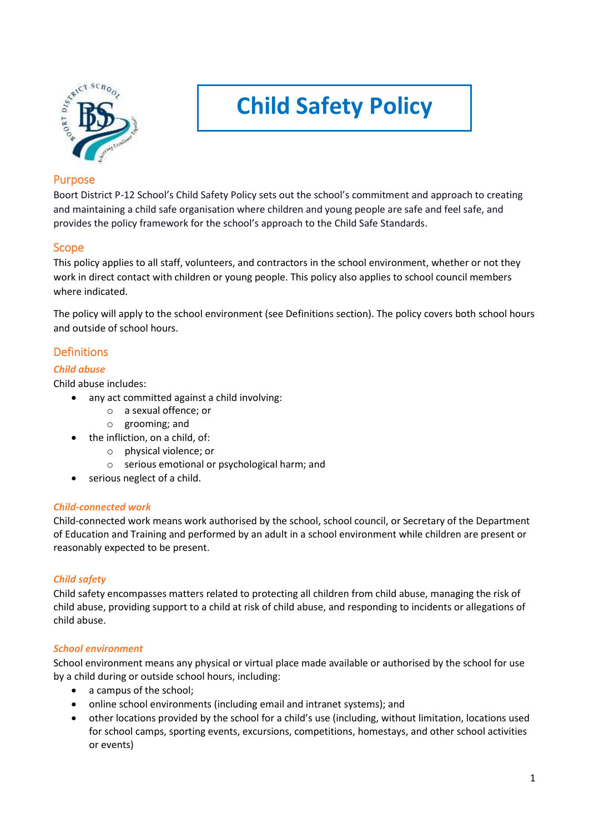

# **Child Safety Policy**

## Purpose

Boort District P-12 School's Child Safety Policy sets out the school's commitment and approach to creating and maintaining a child safe organisation where children and young people are safe and feel safe, and provides the policy framework for the school's approach to the Child Safe Standards.

## Scope

This policy applies to all staff, volunteers, and contractors in the school environment, whether or not they work in direct contact with children or young people. This policy also applies to school council members where indicated.

The policy will apply to the school environment (see Definitions section). The policy covers both school hours and outside of school hours.

## Definitions

#### *Child abuse*

Child abuse includes:

- any act committed against a child involving:
	- o a sexual offence; or
	- o grooming; and
	- the infliction, on a child, of:
		- o physical violence; or
		- o serious emotional or psychological harm; and
	- serious neglect of a child.

#### *Child-connected work*

Child-connected work means work authorised by the school, school council, or Secretary of the Department of Education and Training and performed by an adult in a school environment while children are present or reasonably expected to be present.

#### *Child safety*

Child safety encompasses matters related to protecting all children from child abuse, managing the risk of child abuse, providing support to a child at risk of child abuse, and responding to incidents or allegations of child abuse.

#### *School environment*

School environment means any physical or virtual place made available or authorised by the school for use by a child during or outside school hours, including:

- a campus of the school;
- online school environments (including email and intranet systems); and
- other locations provided by the school for a child's use (including, without limitation, locations used for school camps, sporting events, excursions, competitions, homestays, and other school activities or events)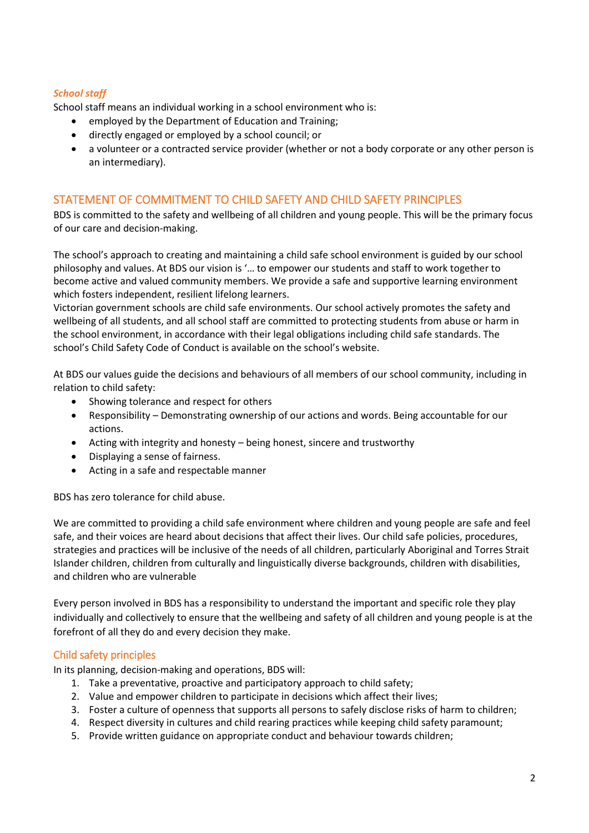#### *School staff*

School staff means an individual working in a school environment who is:

- employed by the Department of Education and Training;
- directly engaged or employed by a school council; or
- a volunteer or a contracted service provider (whether or not a body corporate or any other person is an intermediary).

## STATEMENT OF COMMITMENT TO CHILD SAFETY AND CHILD SAFETY PRINCIPLES

BDS is committed to the safety and wellbeing of all children and young people. This will be the primary focus of our care and decision-making.

The school's approach to creating and maintaining a child safe school environment is guided by our school philosophy and values. At BDS our vision is '… to empower our students and staff to work together to become active and valued community members. We provide a safe and supportive learning environment which fosters independent, resilient lifelong learners.

Victorian government schools are child safe environments. Our school actively promotes the safety and wellbeing of all students, and all school staff are committed to protecting students from abuse or harm in the school environment, in accordance with their legal obligations including child safe standards. The school's Child Safety Code of Conduct is available on the school's website.

At BDS our values guide the decisions and behaviours of all members of our school community, including in relation to child safety:

- Showing tolerance and respect for others
- Responsibility Demonstrating ownership of our actions and words. Being accountable for our actions.
- Acting with integrity and honesty being honest, sincere and trustworthy
- Displaying a sense of fairness.
- Acting in a safe and respectable manner

BDS has zero tolerance for child abuse.

We are committed to providing a child safe environment where children and young people are safe and feel safe, and their voices are heard about decisions that affect their lives. Our child safe policies, procedures, strategies and practices will be inclusive of the needs of all children, particularly Aboriginal and Torres Strait Islander children, children from culturally and linguistically diverse backgrounds, children with disabilities, and children who are vulnerable

Every person involved in BDS has a responsibility to understand the important and specific role they play individually and collectively to ensure that the wellbeing and safety of all children and young people is at the forefront of all they do and every decision they make.

#### Child safety principles

In its planning, decision-making and operations, BDS will:

- 1. Take a preventative, proactive and participatory approach to child safety;
- 2. Value and empower children to participate in decisions which affect their lives;
- 3. Foster a culture of openness that supports all persons to safely disclose risks of harm to children;
- 4. Respect diversity in cultures and child rearing practices while keeping child safety paramount;
- 5. Provide written guidance on appropriate conduct and behaviour towards children;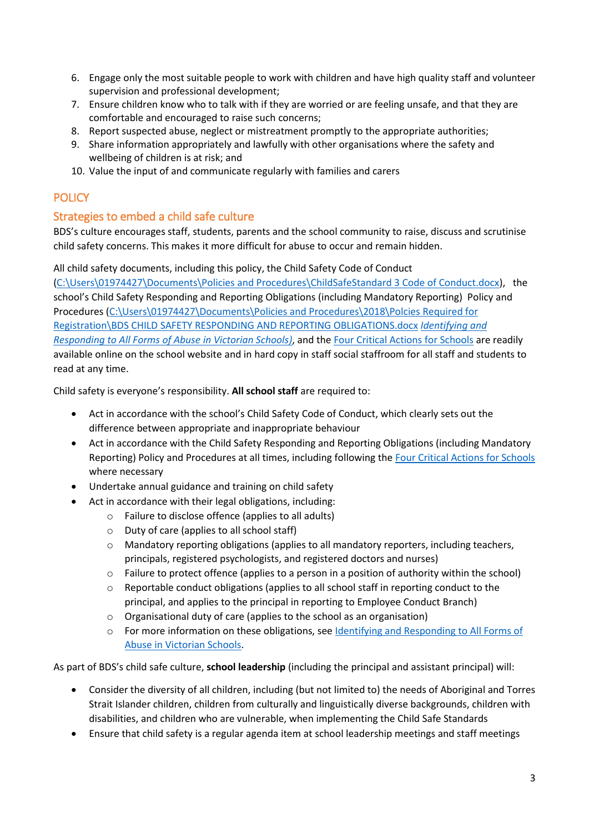- 6. Engage only the most suitable people to work with children and have high quality staff and volunteer supervision and professional development;
- 7. Ensure children know who to talk with if they are worried or are feeling unsafe, and that they are comfortable and encouraged to raise such concerns;
- 8. Report suspected abuse, neglect or mistreatment promptly to the appropriate authorities;
- 9. Share information appropriately and lawfully with other organisations where the safety and wellbeing of children is at risk; and
- 10. Value the input of and communicate regularly with families and carers

# **POLICY**

## Strategies to embed a child safe culture

BDS's culture encourages staff, students, parents and the school community to raise, discuss and scrutinise child safety concerns. This makes it more difficult for abuse to occur and remain hidden.

All child safety documents, including this policy, the Child Safety Code of Conduct [\(C:\Users\01974427\Documents\Policies and Procedures\ChildSafeStandard 3 Code of Conduct.docx\)](file:///C:/Users/01974427/Documents/Policies%20and%20Procedures/ChildSafeStandard%203%20Code%20of%20Conduct.docx), the school's Child Safety Responding and Reporting Obligations (including Mandatory Reporting) Policy and Procedures [\(C:\Users\01974427\Documents\Policies and Procedures\2018\Polcies Required for](file:///C:/Users/01974427/Documents/Policies%20and%20Procedures/2018/Polcies%20Required%20for%20Registration/BDS%20CHILD%20SAFETY%20RESPONDING%20AND%20REPORTING%20OBLIGATIONS.docx)  [Registration\BDS CHILD SAFETY RESPONDING AND REPORTING OBLIGATIONS.docx](file:///C:/Users/01974427/Documents/Policies%20and%20Procedures/2018/Polcies%20Required%20for%20Registration/BDS%20CHILD%20SAFETY%20RESPONDING%20AND%20REPORTING%20OBLIGATIONS.docx) *[Identifying and](https://www.education.vic.gov.au/Documents/about/programs/health/protect/ChildSafeStandard5_SchoolsGuide.pdf)  [Responding to All Forms of Abuse in Victorian Schools\)](https://www.education.vic.gov.au/Documents/about/programs/health/protect/ChildSafeStandard5_SchoolsGuide.pdf)*, and the [Four Critical Actions for Schools](https://www.education.vic.gov.au/Documents/about/programs/health/protect/FourCriticalActions_ChildAbuse.pdf) are readily available online on the school website and in hard copy in staff social staffroom for all staff and students to read at any time.

Child safety is everyone's responsibility. **All school staff** are required to:

- Act in accordance with the school's Child Safety Code of Conduct, which clearly sets out the difference between appropriate and inappropriate behaviour
- Act in accordance with the Child Safety Responding and Reporting Obligations (including Mandatory Reporting) Policy and Procedures at all times, including following th[e Four Critical Actions for Schools](https://www.education.vic.gov.au/Documents/about/programs/health/protect/FourCriticalActions_ChildAbuse.pdf) where necessary
- Undertake annual guidance and training on child safety
- Act in accordance with their legal obligations, including:
	- o Failure to disclose offence (applies to all adults)
		- o Duty of care (applies to all school staff)
		- o Mandatory reporting obligations (applies to all mandatory reporters, including teachers, principals, registered psychologists, and registered doctors and nurses)
		- o Failure to protect offence (applies to a person in a position of authority within the school)
		- o Reportable conduct obligations (applies to all school staff in reporting conduct to the principal, and applies to the principal in reporting to Employee Conduct Branch)
	- o Organisational duty of care (applies to the school as an organisation)
	- o For more information on these obligations, see [Identifying and Responding to All Forms of](https://www.education.vic.gov.au/Documents/about/programs/health/protect/ChildSafeStandard5_SchoolsGuide.pdf)  [Abuse in Victorian Schools.](https://www.education.vic.gov.au/Documents/about/programs/health/protect/ChildSafeStandard5_SchoolsGuide.pdf)

As part of BDS's child safe culture, **school leadership** (including the principal and assistant principal) will:

- Consider the diversity of all children, including (but not limited to) the needs of Aboriginal and Torres Strait Islander children, children from culturally and linguistically diverse backgrounds, children with disabilities, and children who are vulnerable, when implementing the Child Safe Standards
- Ensure that child safety is a regular agenda item at school leadership meetings and staff meetings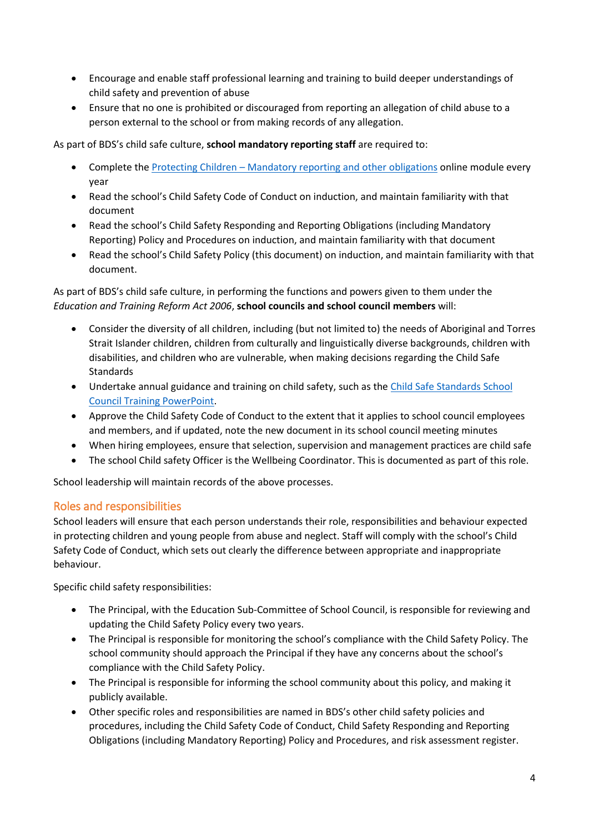- Encourage and enable staff professional learning and training to build deeper understandings of child safety and prevention of abuse
- Ensure that no one is prohibited or discouraged from reporting an allegation of child abuse to a person external to the school or from making records of any allegation.

As part of BDS's child safe culture, **school mandatory reporting staff** are required to:

- Complete the Protecting Children [Mandatory reporting and other](http://elearn.com.au/det/protectingchildren/) obligations online module every year
- Read the school's Child Safety Code of Conduct on induction, and maintain familiarity with that document
- Read the school's Child Safety Responding and Reporting Obligations (including Mandatory Reporting) Policy and Procedures on induction, and maintain familiarity with that document
- Read the school's Child Safety Policy (this document) on induction, and maintain familiarity with that document.

As part of BDS's child safe culture, in performing the functions and powers given to them under the *Education and Training Reform Act 2006*, **school councils and school council members** will:

- Consider the diversity of all children, including (but not limited to) the needs of Aboriginal and Torres Strait Islander children, children from culturally and linguistically diverse backgrounds, children with disabilities, and children who are vulnerable, when making decisions regarding the Child Safe **Standards**
- Undertake annual guidance and training on child safety, such as the Child Safe Standards School [Council Training](https://www.education.vic.gov.au/Documents/about/programs/health/protect/school-council-training.pptx) PowerPoint.
- Approve the Child Safety Code of Conduct to the extent that it applies to school council employees and members, and if updated, note the new document in its school council meeting minutes
- When hiring employees, ensure that selection, supervision and management practices are child safe
- The school Child safety Officer is the Wellbeing Coordinator. This is documented as part of this role.

School leadership will maintain records of the above processes.

## Roles and responsibilities

School leaders will ensure that each person understands their role, responsibilities and behaviour expected in protecting children and young people from abuse and neglect. Staff will comply with the school's Child Safety Code of Conduct, which sets out clearly the difference between appropriate and inappropriate behaviour.

Specific child safety responsibilities:

- The Principal, with the Education Sub-Committee of School Council, is responsible for reviewing and updating the Child Safety Policy every two years.
- The Principal is responsible for monitoring the school's compliance with the Child Safety Policy. The school community should approach the Principal if they have any concerns about the school's compliance with the Child Safety Policy.
- The Principal is responsible for informing the school community about this policy, and making it publicly available.
- Other specific roles and responsibilities are named in BDS's other child safety policies and procedures, including the Child Safety Code of Conduct, Child Safety Responding and Reporting Obligations (including Mandatory Reporting) Policy and Procedures, and risk assessment register.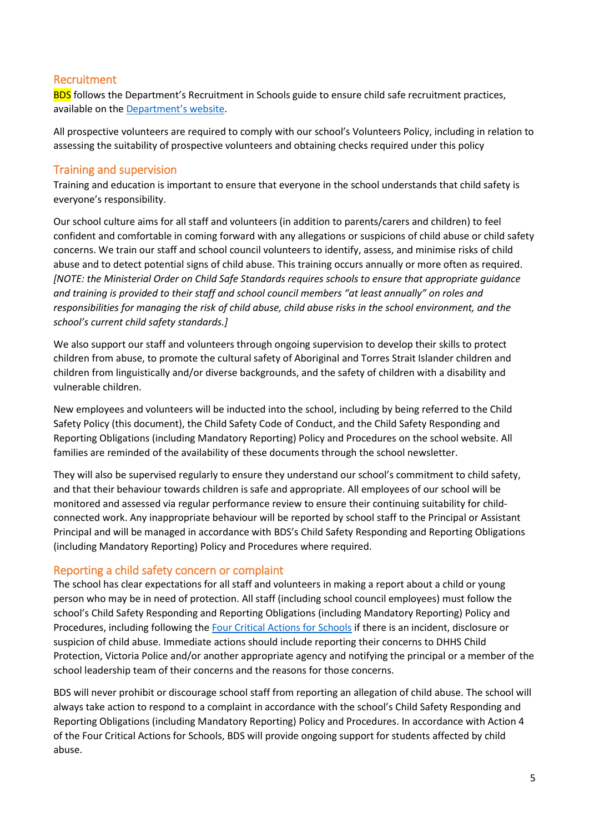## Recruitment

**BDS** follows the Department's Recruitment in Schools guide to ensure child safe recruitment practices, available on the [Department'](https://www.education.vic.gov.au/hrweb/careers/Pages/recruitinsch.aspx)s website.

All prospective volunteers are required to comply with our school's Volunteers Policy, including in relation to assessing the suitability of prospective volunteers and obtaining checks required under this policy

#### Training and supervision

Training and education is important to ensure that everyone in the school understands that child safety is everyone's responsibility.

Our school culture aims for all staff and volunteers (in addition to parents/carers and children) to feel confident and comfortable in coming forward with any allegations or suspicions of child abuse or child safety concerns. We train our staff and school council volunteers to identify, assess, and minimise risks of child abuse and to detect potential signs of child abuse. This training occurs annually or more often as required. *[NOTE: the Ministerial Order on Child Safe Standards requires schools to ensure that appropriate guidance and training is provided to their staff and school council members "at least annually" on roles and responsibilities for managing the risk of child abuse, child abuse risks in the school environment, and the school's current child safety standards.]*

We also support our staff and volunteers through ongoing supervision to develop their skills to protect children from abuse, to promote the cultural safety of Aboriginal and Torres Strait Islander children and children from linguistically and/or diverse backgrounds, and the safety of children with a disability and vulnerable children.

New employees and volunteers will be inducted into the school, including by being referred to the Child Safety Policy (this document), the Child Safety Code of Conduct, and the Child Safety Responding and Reporting Obligations (including Mandatory Reporting) Policy and Procedures on the school website. All families are reminded of the availability of these documents through the school newsletter.

They will also be supervised regularly to ensure they understand our school's commitment to child safety, and that their behaviour towards children is safe and appropriate. All employees of our school will be monitored and assessed via regular performance review to ensure their continuing suitability for childconnected work. Any inappropriate behaviour will be reported by school staff to the Principal or Assistant Principal and will be managed in accordance with BDS's Child Safety Responding and Reporting Obligations (including Mandatory Reporting) Policy and Procedures where required.

#### Reporting a child safety concern or complaint

The school has clear expectations for all staff and volunteers in making a report about a child or young person who may be in need of protection. All staff (including school council employees) must follow the school's Child Safety Responding and Reporting Obligations (including Mandatory Reporting) Policy and Procedures, including following the [Four Critical Actions for Schools](https://www.education.vic.gov.au/Documents/about/programs/health/protect/FourCriticalActions_ChildAbuse.pdf) if there is an incident, disclosure or suspicion of child abuse. Immediate actions should include reporting their concerns to DHHS Child Protection, Victoria Police and/or another appropriate agency and notifying the principal or a member of the school leadership team of their concerns and the reasons for those concerns.

BDS will never prohibit or discourage school staff from reporting an allegation of child abuse. The school will always take action to respond to a complaint in accordance with the school's Child Safety Responding and Reporting Obligations (including Mandatory Reporting) Policy and Procedures. In accordance with Action 4 of the Four Critical Actions for Schools, BDS will provide ongoing support for students affected by child abuse.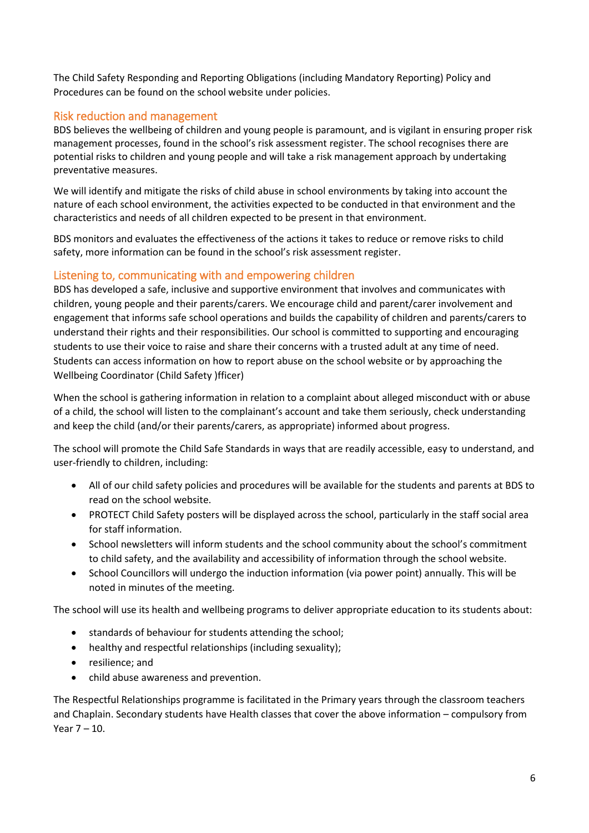The Child Safety Responding and Reporting Obligations (including Mandatory Reporting) Policy and Procedures can be found on the school website under policies.

## Risk reduction and management

BDS believes the wellbeing of children and young people is paramount, and is vigilant in ensuring proper risk management processes, found in the school's risk assessment register. The school recognises there are potential risks to children and young people and will take a risk management approach by undertaking preventative measures.

We will identify and mitigate the risks of child abuse in school environments by taking into account the nature of each school environment, the activities expected to be conducted in that environment and the characteristics and needs of all children expected to be present in that environment.

BDS monitors and evaluates the effectiveness of the actions it takes to reduce or remove risks to child safety, more information can be found in the school's risk assessment register.

#### Listening to, communicating with and empowering children

BDS has developed a safe, inclusive and supportive environment that involves and communicates with children, young people and their parents/carers. We encourage child and parent/carer involvement and engagement that informs safe school operations and builds the capability of children and parents/carers to understand their rights and their responsibilities. Our school is committed to supporting and encouraging students to use their voice to raise and share their concerns with a trusted adult at any time of need. Students can access information on how to report abuse on the school website or by approaching the Wellbeing Coordinator (Child Safety )fficer)

When the school is gathering information in relation to a complaint about alleged misconduct with or abuse of a child, the school will listen to the complainant's account and take them seriously, check understanding and keep the child (and/or their parents/carers, as appropriate) informed about progress.

The school will promote the Child Safe Standards in ways that are readily accessible, easy to understand, and user-friendly to children, including:

- All of our child safety policies and procedures will be available for the students and parents at BDS to read on the school website.
- PROTECT Child Safety posters will be displayed across the school, particularly in the staff social area for staff information.
- School newsletters will inform students and the school community about the school's commitment to child safety, and the availability and accessibility of information through the school website.
- School Councillors will undergo the induction information (via power point) annually. This will be noted in minutes of the meeting.

The school will use its health and wellbeing programs to deliver appropriate education to its students about:

- standards of behaviour for students attending the school;
- healthy and respectful relationships (including sexuality);
- resilience; and
- child abuse awareness and prevention.

The Respectful Relationships programme is facilitated in the Primary years through the classroom teachers and Chaplain. Secondary students have Health classes that cover the above information – compulsory from Year 7 – 10.